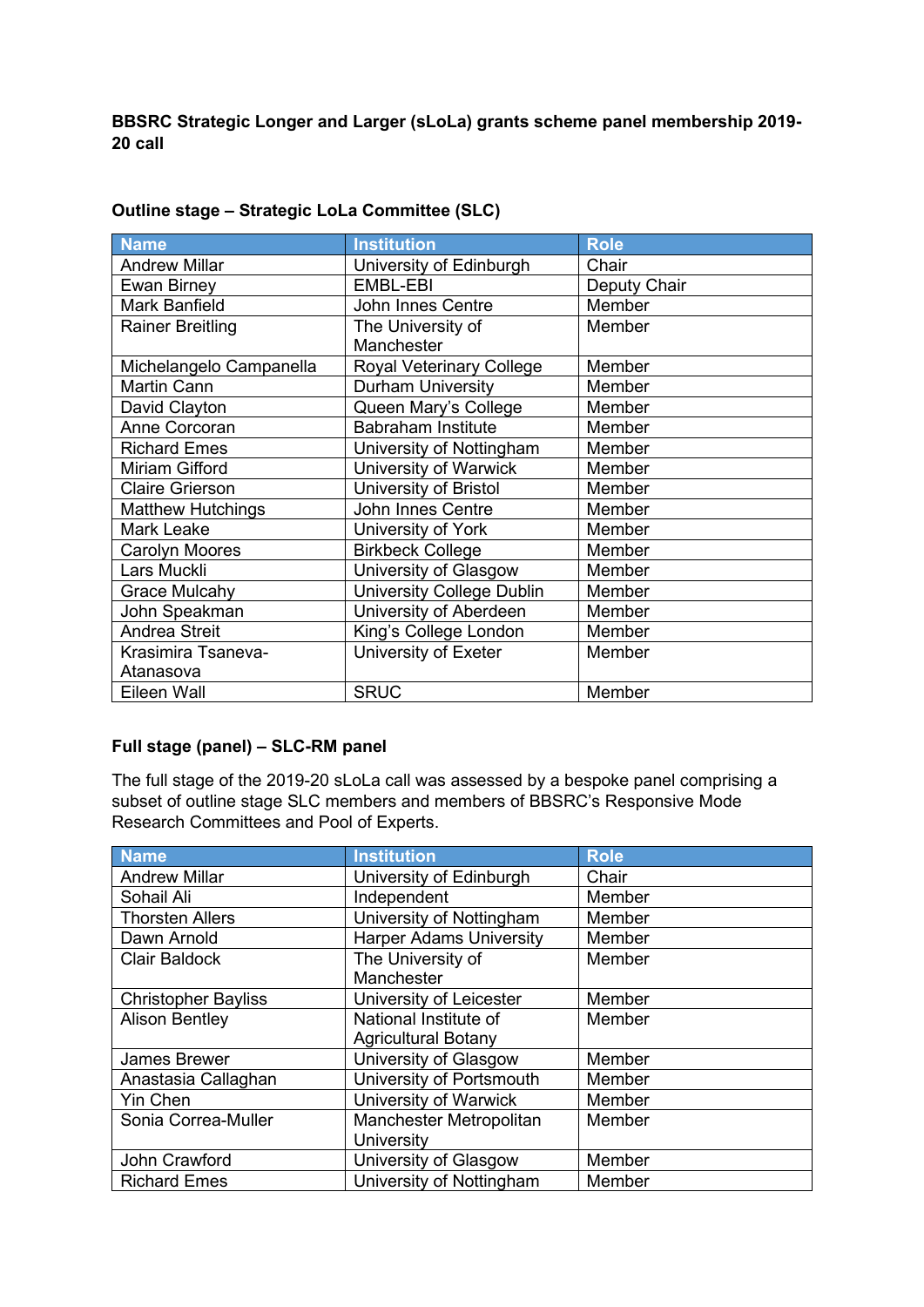**BBSRC Strategic Longer and Larger (sLoLa) grants scheme panel membership 2019- 20 call**

| <b>Name</b>              | <b>Institution</b>        | <b>Role</b>  |
|--------------------------|---------------------------|--------------|
| <b>Andrew Millar</b>     | University of Edinburgh   | Chair        |
| Ewan Birney              | EMBL-EBI                  | Deputy Chair |
| <b>Mark Banfield</b>     | John Innes Centre         | Member       |
| <b>Rainer Breitling</b>  | The University of         | Member       |
|                          | Manchester                |              |
| Michelangelo Campanella  | Royal Veterinary College  | Member       |
| <b>Martin Cann</b>       | <b>Durham University</b>  | Member       |
| David Clayton            | Queen Mary's College      | Member       |
| Anne Corcoran            | <b>Babraham Institute</b> | Member       |
| <b>Richard Emes</b>      | University of Nottingham  | Member       |
| Miriam Gifford           | University of Warwick     | Member       |
| <b>Claire Grierson</b>   | University of Bristol     | Member       |
| <b>Matthew Hutchings</b> | John Innes Centre         | Member       |
| Mark Leake               | University of York        | Member       |
| Carolyn Moores           | <b>Birkbeck College</b>   | Member       |
| Lars Muckli              | University of Glasgow     | Member       |
| <b>Grace Mulcahy</b>     | University College Dublin | Member       |
| John Speakman            | University of Aberdeen    | Member       |
| <b>Andrea Streit</b>     | King's College London     | Member       |
| Krasimira Tsaneva-       | University of Exeter      | Member       |
| Atanasova                |                           |              |
| Eileen Wall              | <b>SRUC</b>               | Member       |

## **Outline stage – Strategic LoLa Committee (SLC)**

## **Full stage (panel) – SLC-RM panel**

The full stage of the 2019-20 sLoLa call was assessed by a bespoke panel comprising a subset of outline stage SLC members and members of BBSRC's Responsive Mode Research Committees and Pool of Experts.

| <b>Name</b>                | <b>Institution</b>             | <b>Role</b> |
|----------------------------|--------------------------------|-------------|
| <b>Andrew Millar</b>       | University of Edinburgh        | Chair       |
| Sohail Ali                 | Independent                    | Member      |
| <b>Thorsten Allers</b>     | University of Nottingham       | Member      |
| Dawn Arnold                | <b>Harper Adams University</b> | Member      |
| <b>Clair Baldock</b>       | The University of              | Member      |
|                            | Manchester                     |             |
| <b>Christopher Bayliss</b> | University of Leicester        | Member      |
| <b>Alison Bentley</b>      | National Institute of          | Member      |
|                            | <b>Agricultural Botany</b>     |             |
| <b>James Brewer</b>        | University of Glasgow          | Member      |
| Anastasia Callaghan        | University of Portsmouth       | Member      |
| <b>Yin Chen</b>            | University of Warwick          | Member      |
| Sonia Correa-Muller        | Manchester Metropolitan        | Member      |
|                            | University                     |             |
| John Crawford              | University of Glasgow          | Member      |
| <b>Richard Emes</b>        | University of Nottingham       | Member      |